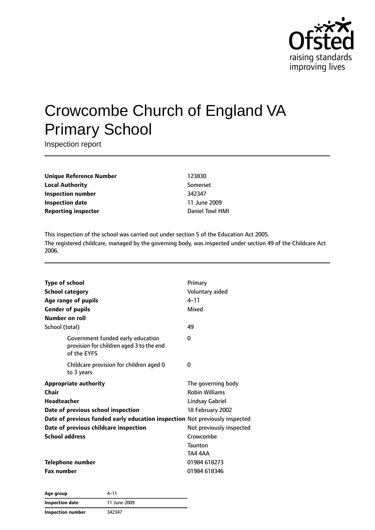

# Crowcombe Church of England VA Primary School

Inspection report

**Unique Reference Number** 123830 **Local Authority** Somerset **Inspection number** 342347 **Inspection date** 11 June 2009 **Reporting inspector CONFIDENTIAL CONFIDENTIAL Daniel Towl HMI** 

This inspection of the school was carried out under section 5 of the Education Act 2005. The registered childcare, managed by the governing body, was inspected under section 49 of the Childcare Act 2006.

| <b>Type of school</b><br><b>School category</b><br>Age range of pupils<br><b>Gender of pupils</b><br>Number on roll                                                                                                                         | Primary<br>Voluntary aided<br>$4 - 11$<br>Mixed                                                                                                                 |
|---------------------------------------------------------------------------------------------------------------------------------------------------------------------------------------------------------------------------------------------|-----------------------------------------------------------------------------------------------------------------------------------------------------------------|
| School (total)                                                                                                                                                                                                                              | 49                                                                                                                                                              |
| Government funded early education<br>provision for children aged 3 to the end<br>of the EYFS                                                                                                                                                | 0                                                                                                                                                               |
| Childcare provision for children aged 0<br>to 3 years                                                                                                                                                                                       | 0                                                                                                                                                               |
| <b>Appropriate authority</b><br>Chair<br>Headteacher<br>Date of previous school inspection<br>Date of previous funded early education inspection Not previously inspected<br>Date of previous childcare inspection<br><b>School address</b> | The governing body<br><b>Robin Williams</b><br><b>Lindsay Gabriel</b><br>18 February 2002<br>Not previously inspected<br>Crowcombe<br><b>Taunton</b><br>TA4 4AA |
| <b>Telephone number</b><br><b>Fax number</b>                                                                                                                                                                                                | 01984 618273<br>01984 618346                                                                                                                                    |
|                                                                                                                                                                                                                                             |                                                                                                                                                                 |

**Age group** 4–11 **Inspection date** 11 June 2009 **Inspection number** 342347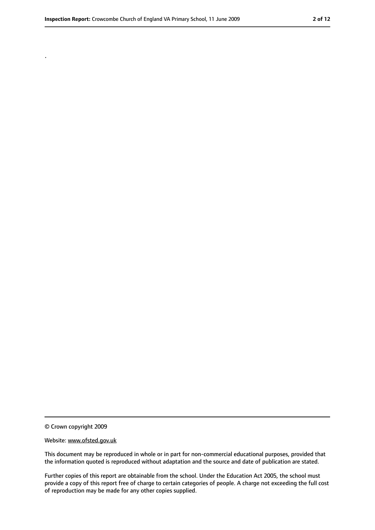.

#### Website: www.ofsted.gov.uk

This document may be reproduced in whole or in part for non-commercial educational purposes, provided that the information quoted is reproduced without adaptation and the source and date of publication are stated.

Further copies of this report are obtainable from the school. Under the Education Act 2005, the school must provide a copy of this report free of charge to certain categories of people. A charge not exceeding the full cost of reproduction may be made for any other copies supplied.

<sup>©</sup> Crown copyright 2009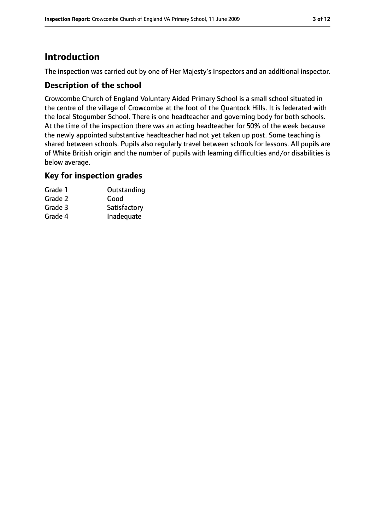# **Introduction**

The inspection was carried out by one of Her Majesty's Inspectors and an additional inspector.

### **Description of the school**

Crowcombe Church of England Voluntary Aided Primary School is a small school situated in the centre of the village of Crowcombe at the foot of the Quantock Hills. It is federated with the local Stogumber School. There is one headteacher and governing body for both schools. At the time of the inspection there was an acting headteacher for 50% of the week because the newly appointed substantive headteacher had not yet taken up post. Some teaching is shared between schools. Pupils also regularly travel between schools for lessons. All pupils are of White British origin and the number of pupils with learning difficulties and/or disabilities is below average.

### **Key for inspection grades**

| Grade 1 | Outstanding  |
|---------|--------------|
| Grade 2 | Good         |
| Grade 3 | Satisfactory |
| Grade 4 | Inadequate   |
|         |              |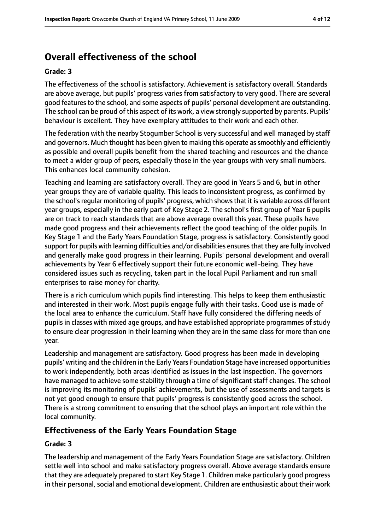# **Overall effectiveness of the school**

#### **Grade: 3**

The effectiveness of the school is satisfactory. Achievement is satisfactory overall. Standards are above average, but pupils' progress varies from satisfactory to very good. There are several good features to the school, and some aspects of pupils' personal development are outstanding. The school can be proud of this aspect of its work, a view strongly supported by parents. Pupils' behaviour is excellent. They have exemplary attitudes to their work and each other.

The federation with the nearby Stogumber School is very successful and well managed by staff and governors. Much thought has been given to making this operate as smoothly and efficiently as possible and overall pupils benefit from the shared teaching and resources and the chance to meet a wider group of peers, especially those in the year groups with very small numbers. This enhances local community cohesion.

Teaching and learning are satisfactory overall. They are good in Years 5 and 6, but in other year groups they are of variable quality. This leads to inconsistent progress, as confirmed by the school's regular monitoring of pupils' progress, which shows that it is variable across different year groups, especially in the early part of Key Stage 2. The school's first group of Year 6 pupils are on track to reach standards that are above average overall this year. These pupils have made good progress and their achievements reflect the good teaching of the older pupils. In Key Stage 1 and the Early Years Foundation Stage, progress is satisfactory. Consistently good support for pupils with learning difficulties and/or disabilities ensures that they are fully involved and generally make good progress in their learning. Pupils' personal development and overall achievements by Year 6 effectively support their future economic well-being. They have considered issues such as recycling, taken part in the local Pupil Parliament and run small enterprises to raise money for charity.

There is a rich curriculum which pupils find interesting. This helps to keep them enthusiastic and interested in their work. Most pupils engage fully with their tasks. Good use is made of the local area to enhance the curriculum. Staff have fully considered the differing needs of pupils in classes with mixed age groups, and have established appropriate programmes of study to ensure clear progression in their learning when they are in the same class for more than one year.

Leadership and management are satisfactory. Good progress has been made in developing pupils' writing and the children in the Early Years Foundation Stage have increased opportunities to work independently, both areas identified as issues in the last inspection. The governors have managed to achieve some stability through a time of significant staff changes. The school is improving its monitoring of pupils' achievements, but the use of assessments and targets is not yet good enough to ensure that pupils' progress is consistently good across the school. There is a strong commitment to ensuring that the school plays an important role within the local community.

## **Effectiveness of the Early Years Foundation Stage**

#### **Grade: 3**

The leadership and management of the Early Years Foundation Stage are satisfactory. Children settle well into school and make satisfactory progress overall. Above average standards ensure that they are adequately prepared to start Key Stage 1. Children make particularly good progress in their personal, social and emotional development. Children are enthusiastic about their work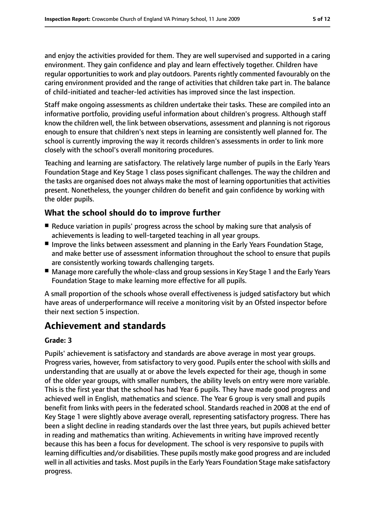and enjoy the activities provided for them. They are well supervised and supported in a caring environment. They gain confidence and play and learn effectively together. Children have regular opportunities to work and play outdoors. Parents rightly commented favourably on the caring environment provided and the range of activities that children take part in. The balance of child-initiated and teacher-led activities has improved since the last inspection.

Staff make ongoing assessments as children undertake their tasks. These are compiled into an informative portfolio, providing useful information about children's progress. Although staff know the children well, the link between observations, assessment and planning is not rigorous enough to ensure that children's next steps in learning are consistently well planned for. The school is currently improving the way it records children's assessments in order to link more closely with the school's overall monitoring procedures.

Teaching and learning are satisfactory. The relatively large number of pupils in the Early Years Foundation Stage and Key Stage 1 class poses significant challenges. The way the children and the tasks are organised does not always make the most of learning opportunities that activities present. Nonetheless, the younger children do benefit and gain confidence by working with the older pupils.

## **What the school should do to improve further**

- Reduce variation in pupils' progress across the school by making sure that analysis of achievements is leading to well-targeted teaching in all year groups.
- Improve the links between assessment and planning in the Early Years Foundation Stage, and make better use of assessment information throughout the school to ensure that pupils are consistently working towards challenging targets.
- Manage more carefully the whole-class and group sessions in Key Stage 1 and the Early Years Foundation Stage to make learning more effective for all pupils.

A small proportion of the schools whose overall effectiveness is judged satisfactory but which have areas of underperformance will receive a monitoring visit by an Ofsted inspector before their next section 5 inspection.

# **Achievement and standards**

#### **Grade: 3**

Pupils' achievement is satisfactory and standards are above average in most year groups. Progress varies, however, from satisfactory to very good. Pupils enter the school with skills and understanding that are usually at or above the levels expected for their age, though in some of the older year groups, with smaller numbers, the ability levels on entry were more variable. This is the first year that the school has had Year 6 pupils. They have made good progress and achieved well in English, mathematics and science. The Year 6 group is very small and pupils benefit from links with peers in the federated school. Standards reached in 2008 at the end of Key Stage 1 were slightly above average overall, representing satisfactory progress. There has been a slight decline in reading standards over the last three years, but pupils achieved better in reading and mathematics than writing. Achievements in writing have improved recently because this has been a focus for development. The school is very responsive to pupils with learning difficulties and/or disabilities. These pupils mostly make good progress and are included well in all activities and tasks. Most pupils in the Early Years Foundation Stage make satisfactory progress.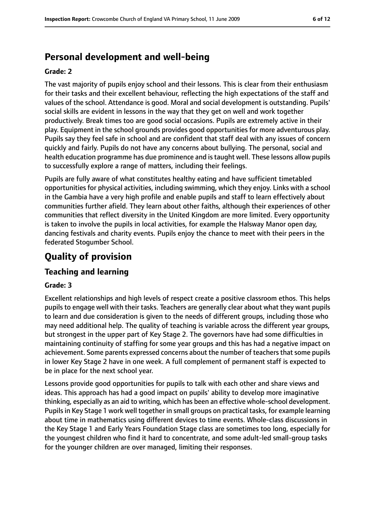# **Personal development and well-being**

#### **Grade: 2**

The vast majority of pupils enjoy school and their lessons. This is clear from their enthusiasm for their tasks and their excellent behaviour, reflecting the high expectations of the staff and values of the school. Attendance is good. Moral and social development is outstanding. Pupils' social skills are evident in lessons in the way that they get on well and work together productively. Break times too are good social occasions. Pupils are extremely active in their play. Equipment in the school grounds provides good opportunities for more adventurous play. Pupils say they feel safe in school and are confident that staff deal with any issues of concern quickly and fairly. Pupils do not have any concerns about bullying. The personal, social and health education programme has due prominence and is taught well. These lessons allow pupils to successfully explore a range of matters, including their feelings.

Pupils are fully aware of what constitutes healthy eating and have sufficient timetabled opportunities for physical activities, including swimming, which they enjoy. Links with a school in the Gambia have a very high profile and enable pupils and staff to learn effectively about communities further afield. They learn about other faiths, although their experiences of other communities that reflect diversity in the United Kingdom are more limited. Every opportunity is taken to involve the pupils in local activities, for example the Halsway Manor open day, dancing festivals and charity events. Pupils enjoy the chance to meet with their peers in the federated Stogumber School.

# **Quality of provision**

## **Teaching and learning**

#### **Grade: 3**

Excellent relationships and high levels of respect create a positive classroom ethos. This helps pupils to engage well with their tasks. Teachers are generally clear about what they want pupils to learn and due consideration is given to the needs of different groups, including those who may need additional help. The quality of teaching is variable across the different year groups, but strongest in the upper part of Key Stage 2. The governors have had some difficulties in maintaining continuity of staffing for some year groups and this has had a negative impact on achievement. Some parents expressed concerns about the number of teachers that some pupils in lower Key Stage 2 have in one week. A full complement of permanent staff is expected to be in place for the next school year.

Lessons provide good opportunities for pupils to talk with each other and share views and ideas. This approach has had a good impact on pupils' ability to develop more imaginative thinking, especially as an aid to writing, which has been an effective whole-school development. Pupils in Key Stage 1 work well together in small groups on practical tasks, for example learning about time in mathematics using different devices to time events. Whole-class discussions in the Key Stage 1 and Early Years Foundation Stage class are sometimes too long, especially for the youngest children who find it hard to concentrate, and some adult-led small-group tasks for the younger children are over managed, limiting their responses.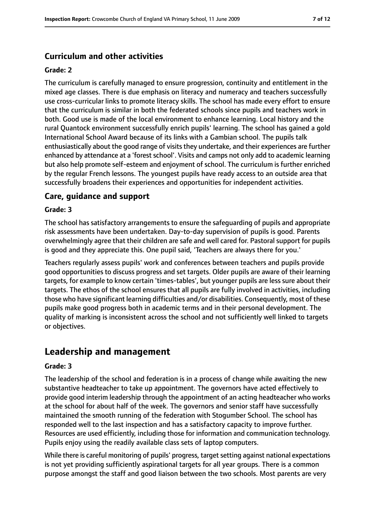## **Curriculum and other activities**

#### **Grade: 2**

The curriculum is carefully managed to ensure progression, continuity and entitlement in the mixed age classes. There is due emphasis on literacy and numeracy and teachers successfully use cross-curricular links to promote literacy skills. The school has made every effort to ensure that the curriculum is similar in both the federated schools since pupils and teachers work in both. Good use is made of the local environment to enhance learning. Local history and the rural Quantock environment successfully enrich pupils' learning. The school has gained a gold International School Award because of its links with a Gambian school. The pupils talk enthusiastically about the good range of visits they undertake, and their experiences are further enhanced by attendance at a 'forest school'. Visits and camps not only add to academic learning but also help promote self-esteem and enjoyment of school. The curriculum is further enriched by the regular French lessons. The youngest pupils have ready access to an outside area that successfully broadens their experiences and opportunities for independent activities.

### **Care, guidance and support**

#### **Grade: 3**

The school has satisfactory arrangements to ensure the safeguarding of pupils and appropriate risk assessments have been undertaken. Day-to-day supervision of pupils is good. Parents overwhelmingly agree that their children are safe and well cared for. Pastoral support for pupils is good and they appreciate this. One pupil said, 'Teachers are always there for you.'

Teachers regularly assess pupils' work and conferences between teachers and pupils provide good opportunities to discuss progress and set targets. Older pupils are aware of their learning targets, for example to know certain 'times-tables', but younger pupils are less sure about their targets. The ethos of the school ensures that all pupils are fully involved in activities, including those who have significant learning difficulties and/or disabilities. Consequently, most of these pupils make good progress both in academic terms and in their personal development. The quality of marking is inconsistent across the school and not sufficiently well linked to targets or objectives.

## **Leadership and management**

#### **Grade: 3**

The leadership of the school and federation is in a process of change while awaiting the new substantive headteacher to take up appointment. The governors have acted effectively to provide good interim leadership through the appointment of an acting headteacher who works at the school for about half of the week. The governors and senior staff have successfully maintained the smooth running of the federation with Stogumber School. The school has responded well to the last inspection and has a satisfactory capacity to improve further. Resources are used efficiently, including those for information and communication technology. Pupils enjoy using the readily available class sets of laptop computers.

While there is careful monitoring of pupils' progress, target setting against national expectations is not yet providing sufficiently aspirational targets for all year groups. There is a common purpose amongst the staff and good liaison between the two schools. Most parents are very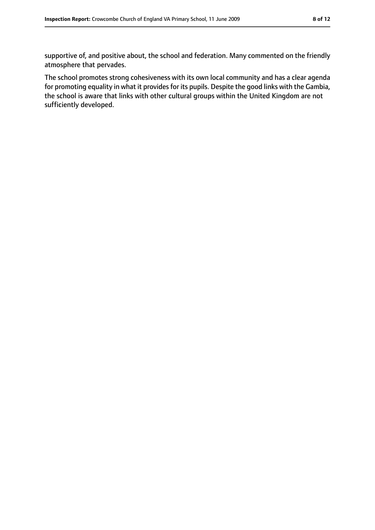supportive of, and positive about, the school and federation. Many commented on the friendly atmosphere that pervades.

The school promotes strong cohesiveness with its own local community and has a clear agenda for promoting equality in what it provides for its pupils. Despite the good links with the Gambia, the school is aware that links with other cultural groups within the United Kingdom are not sufficiently developed.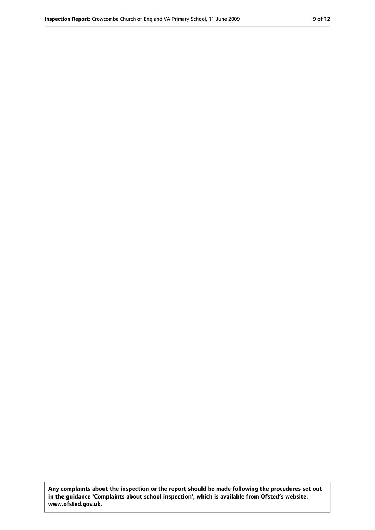**Any complaints about the inspection or the report should be made following the procedures set out in the guidance 'Complaints about school inspection', which is available from Ofsted's website: www.ofsted.gov.uk.**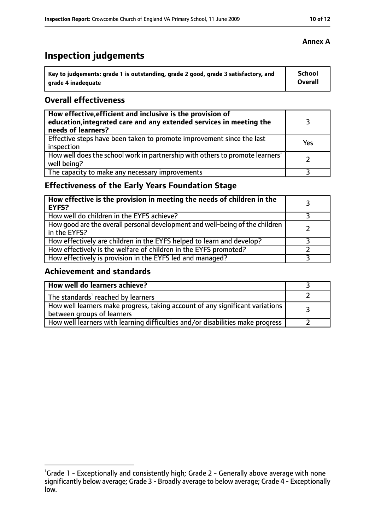# **Inspection judgements**

| Key to judgements: grade 1 is outstanding, grade 2 good, grade 3 satisfactory, and | <b>School</b> |
|------------------------------------------------------------------------------------|---------------|
| arade 4 inadequate                                                                 | Overall       |

### **Overall effectiveness**

| How effective, efficient and inclusive is the provision of<br>education, integrated care and any extended services in meeting the<br>needs of learners? |     |
|---------------------------------------------------------------------------------------------------------------------------------------------------------|-----|
| Effective steps have been taken to promote improvement since the last<br>inspection                                                                     | Yes |
| How well does the school work in partnership with others to promote learners'<br>well being?                                                            |     |
| The capacity to make any necessary improvements                                                                                                         |     |

## **Effectiveness of the Early Years Foundation Stage**

| How effective is the provision in meeting the needs of children in the<br><b>EYFS?</b>       |  |
|----------------------------------------------------------------------------------------------|--|
| How well do children in the EYFS achieve?                                                    |  |
| How good are the overall personal development and well-being of the children<br>in the EYFS? |  |
| How effectively are children in the EYFS helped to learn and develop?                        |  |
| How effectively is the welfare of children in the EYFS promoted?                             |  |
| How effectively is provision in the EYFS led and managed?                                    |  |

## **Achievement and standards**

| How well do learners achieve?                                                  |  |
|--------------------------------------------------------------------------------|--|
| The standards <sup>1</sup> reached by learners                                 |  |
| How well learners make progress, taking account of any significant variations  |  |
| between groups of learners                                                     |  |
| How well learners with learning difficulties and/or disabilities make progress |  |

<sup>&</sup>lt;sup>1</sup>Grade 1 - Exceptionally and consistently high; Grade 2 - Generally above average with none significantly below average; Grade 3 - Broadly average to below average; Grade 4 - Exceptionally low.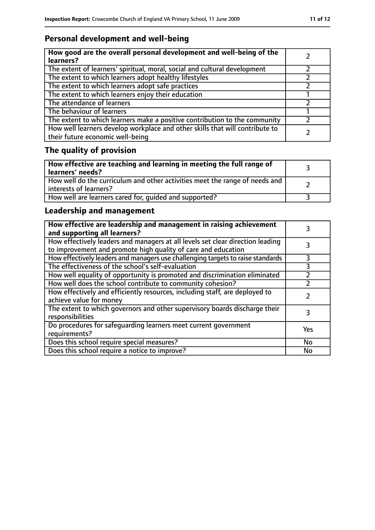## **Personal development and well-being**

| How good are the overall personal development and well-being of the<br>learners?                                 |  |
|------------------------------------------------------------------------------------------------------------------|--|
| The extent of learners' spiritual, moral, social and cultural development                                        |  |
| The extent to which learners adopt healthy lifestyles                                                            |  |
| The extent to which learners adopt safe practices                                                                |  |
| The extent to which learners enjoy their education                                                               |  |
| The attendance of learners                                                                                       |  |
| The behaviour of learners                                                                                        |  |
| The extent to which learners make a positive contribution to the community                                       |  |
| How well learners develop workplace and other skills that will contribute to<br>their future economic well-being |  |

# **The quality of provision**

| How effective are teaching and learning in meeting the full range of<br>learners' needs?              |  |
|-------------------------------------------------------------------------------------------------------|--|
| How well do the curriculum and other activities meet the range of needs and<br>interests of learners? |  |
| How well are learners cared for, quided and supported?                                                |  |

## **Leadership and management**

| How effective are leadership and management in raising achievement<br>and supporting all learners?                                              |     |
|-------------------------------------------------------------------------------------------------------------------------------------------------|-----|
| How effectively leaders and managers at all levels set clear direction leading<br>to improvement and promote high quality of care and education |     |
| How effectively leaders and managers use challenging targets to raise standards                                                                 | 3   |
| The effectiveness of the school's self-evaluation                                                                                               | 3   |
| How well equality of opportunity is promoted and discrimination eliminated                                                                      |     |
| How well does the school contribute to community cohesion?                                                                                      |     |
| How effectively and efficiently resources, including staff, are deployed to<br>achieve value for money                                          |     |
| The extent to which governors and other supervisory boards discharge their<br>responsibilities                                                  | 3   |
| Do procedures for safequarding learners meet current government<br>requirements?                                                                | Yes |
| Does this school require special measures?                                                                                                      | No  |
| Does this school require a notice to improve?                                                                                                   | No  |